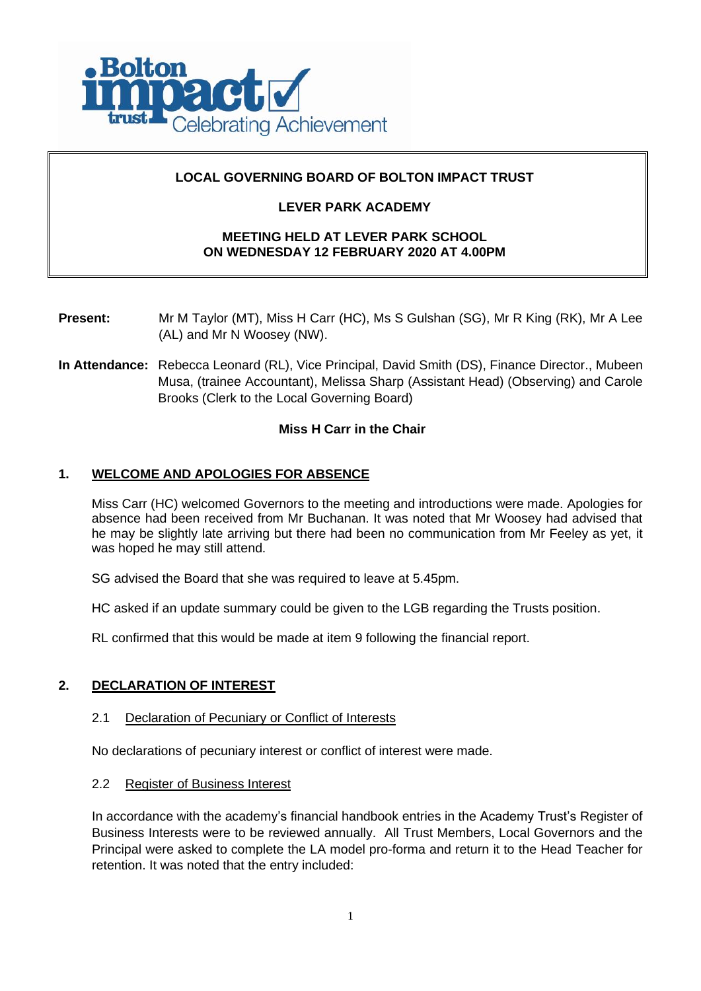

# **LOCAL GOVERNING BOARD OF BOLTON IMPACT TRUST**

# **LEVER PARK ACADEMY**

# **MEETING HELD AT LEVER PARK SCHOOL ON WEDNESDAY 12 FEBRUARY 2020 AT 4.00PM**

- **Present:** Mr M Taylor (MT), Miss H Carr (HC), Ms S Gulshan (SG), Mr R King (RK), Mr A Lee (AL) and Mr N Woosey (NW).
- **In Attendance:** Rebecca Leonard (RL), Vice Principal, David Smith (DS), Finance Director., Mubeen Musa, (trainee Accountant), Melissa Sharp (Assistant Head) (Observing) and Carole Brooks (Clerk to the Local Governing Board)

# **Miss H Carr in the Chair**

# **1. WELCOME AND APOLOGIES FOR ABSENCE**

Miss Carr (HC) welcomed Governors to the meeting and introductions were made. Apologies for absence had been received from Mr Buchanan. It was noted that Mr Woosey had advised that he may be slightly late arriving but there had been no communication from Mr Feeley as yet, it was hoped he may still attend.

SG advised the Board that she was required to leave at 5.45pm.

HC asked if an update summary could be given to the LGB regarding the Trusts position.

RL confirmed that this would be made at item 9 following the financial report.

# **2. DECLARATION OF INTEREST**

### 2.1 Declaration of Pecuniary or Conflict of Interests

No declarations of pecuniary interest or conflict of interest were made.

2.2 Register of Business Interest

In accordance with the academy's financial handbook entries in the Academy Trust's Register of Business Interests were to be reviewed annually. All Trust Members, Local Governors and the Principal were asked to complete the LA model pro-forma and return it to the Head Teacher for retention. It was noted that the entry included: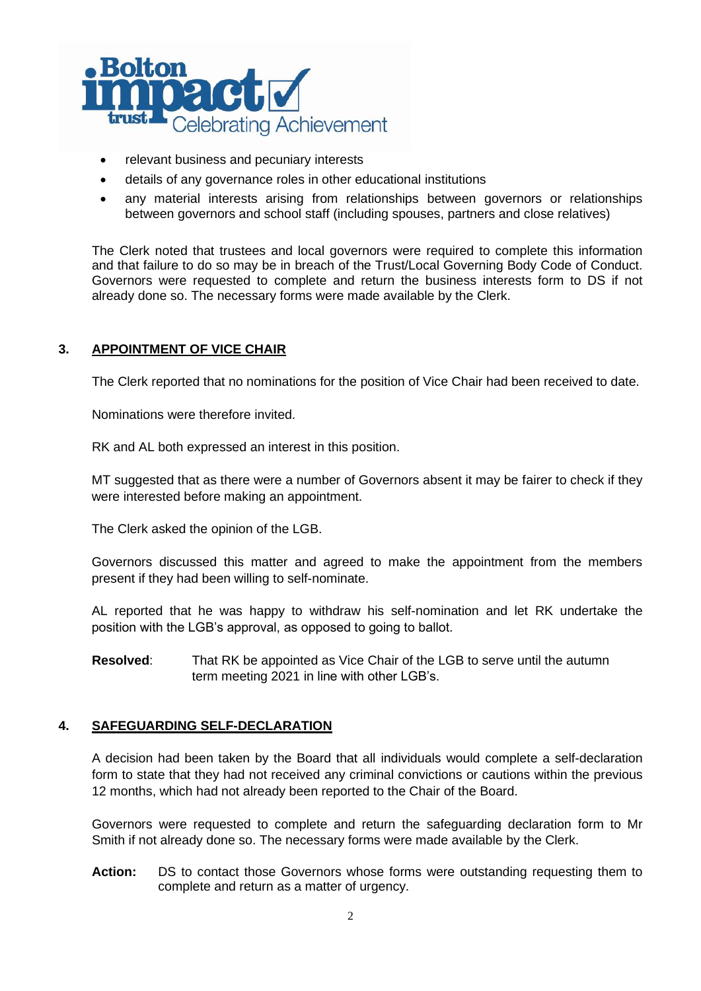

- relevant business and pecuniary interests
- details of any governance roles in other educational institutions
- any material interests arising from relationships between governors or relationships between governors and school staff (including spouses, partners and close relatives)

The Clerk noted that trustees and local governors were required to complete this information and that failure to do so may be in breach of the Trust/Local Governing Body Code of Conduct. Governors were requested to complete and return the business interests form to DS if not already done so. The necessary forms were made available by the Clerk.

# **3. APPOINTMENT OF VICE CHAIR**

The Clerk reported that no nominations for the position of Vice Chair had been received to date.

Nominations were therefore invited.

RK and AL both expressed an interest in this position.

MT suggested that as there were a number of Governors absent it may be fairer to check if they were interested before making an appointment.

The Clerk asked the opinion of the LGB.

Governors discussed this matter and agreed to make the appointment from the members present if they had been willing to self-nominate.

AL reported that he was happy to withdraw his self-nomination and let RK undertake the position with the LGB's approval, as opposed to going to ballot.

**Resolved**: That RK be appointed as Vice Chair of the LGB to serve until the autumn term meeting 2021 in line with other LGB's.

# **4. SAFEGUARDING SELF-DECLARATION**

A decision had been taken by the Board that all individuals would complete a self-declaration form to state that they had not received any criminal convictions or cautions within the previous 12 months, which had not already been reported to the Chair of the Board.

Governors were requested to complete and return the safeguarding declaration form to Mr Smith if not already done so. The necessary forms were made available by the Clerk.

**Action:** DS to contact those Governors whose forms were outstanding requesting them to complete and return as a matter of urgency.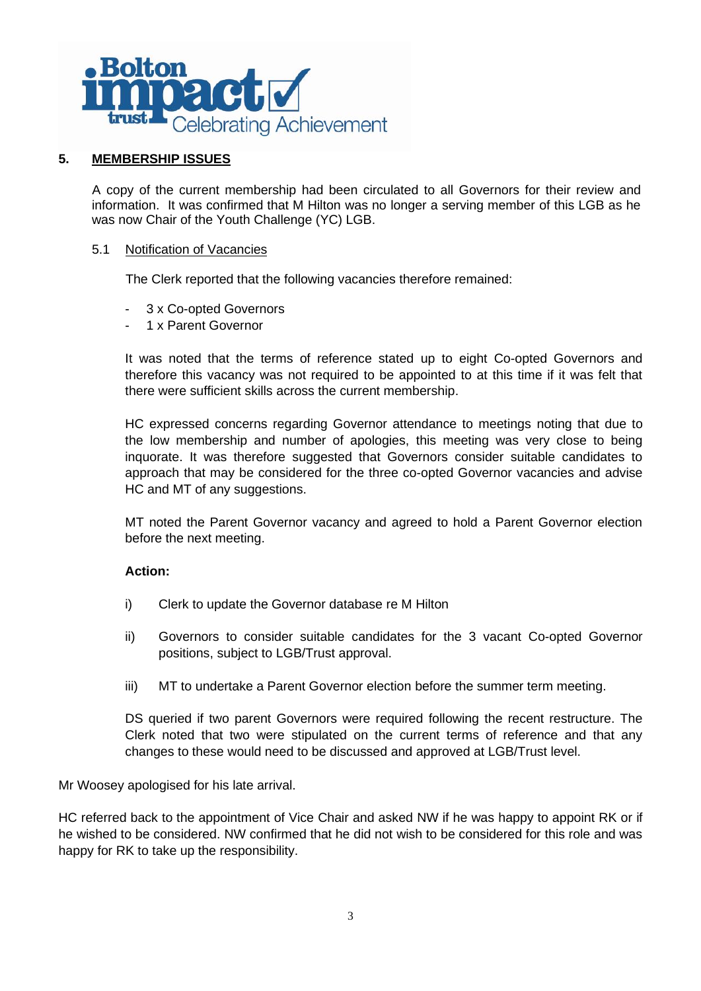

# **5. MEMBERSHIP ISSUES**

A copy of the current membership had been circulated to all Governors for their review and information. It was confirmed that M Hilton was no longer a serving member of this LGB as he was now Chair of the Youth Challenge (YC) LGB.

### 5.1 Notification of Vacancies

The Clerk reported that the following vacancies therefore remained:

- 3 x Co-opted Governors
- 1 x Parent Governor

It was noted that the terms of reference stated up to eight Co-opted Governors and therefore this vacancy was not required to be appointed to at this time if it was felt that there were sufficient skills across the current membership.

HC expressed concerns regarding Governor attendance to meetings noting that due to the low membership and number of apologies, this meeting was very close to being inquorate. It was therefore suggested that Governors consider suitable candidates to approach that may be considered for the three co-opted Governor vacancies and advise HC and MT of any suggestions.

MT noted the Parent Governor vacancy and agreed to hold a Parent Governor election before the next meeting.

# **Action:**

- i) Clerk to update the Governor database re M Hilton
- ii) Governors to consider suitable candidates for the 3 vacant Co-opted Governor positions, subject to LGB/Trust approval.
- iii) MT to undertake a Parent Governor election before the summer term meeting.

DS queried if two parent Governors were required following the recent restructure. The Clerk noted that two were stipulated on the current terms of reference and that any changes to these would need to be discussed and approved at LGB/Trust level.

Mr Woosey apologised for his late arrival.

HC referred back to the appointment of Vice Chair and asked NW if he was happy to appoint RK or if he wished to be considered. NW confirmed that he did not wish to be considered for this role and was happy for RK to take up the responsibility.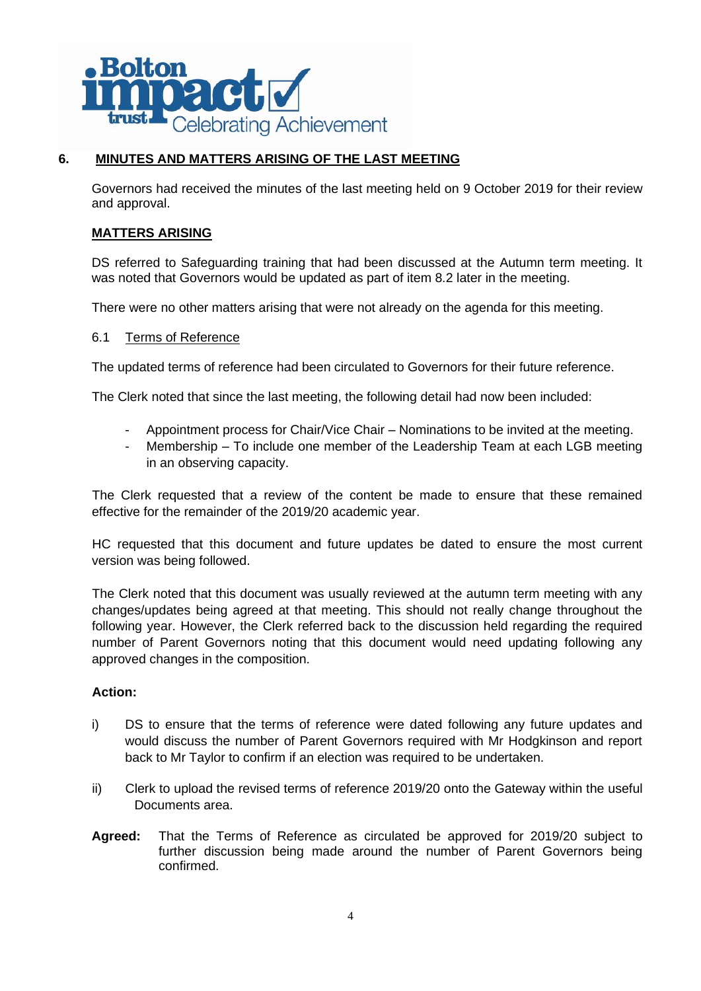

# **6. MINUTES AND MATTERS ARISING OF THE LAST MEETING**

Governors had received the minutes of the last meeting held on 9 October 2019 for their review and approval.

# **MATTERS ARISING**

DS referred to Safeguarding training that had been discussed at the Autumn term meeting. It was noted that Governors would be updated as part of item 8.2 later in the meeting.

There were no other matters arising that were not already on the agenda for this meeting.

## 6.1 Terms of Reference

The updated terms of reference had been circulated to Governors for their future reference.

The Clerk noted that since the last meeting, the following detail had now been included:

- Appointment process for Chair/Vice Chair Nominations to be invited at the meeting.
- Membership To include one member of the Leadership Team at each LGB meeting in an observing capacity.

The Clerk requested that a review of the content be made to ensure that these remained effective for the remainder of the 2019/20 academic year.

HC requested that this document and future updates be dated to ensure the most current version was being followed.

The Clerk noted that this document was usually reviewed at the autumn term meeting with any changes/updates being agreed at that meeting. This should not really change throughout the following year. However, the Clerk referred back to the discussion held regarding the required number of Parent Governors noting that this document would need updating following any approved changes in the composition.

# **Action:**

- i) DS to ensure that the terms of reference were dated following any future updates and would discuss the number of Parent Governors required with Mr Hodgkinson and report back to Mr Taylor to confirm if an election was required to be undertaken.
- ii) Clerk to upload the revised terms of reference 2019/20 onto the Gateway within the useful Documents area.
- **Agreed:** That the Terms of Reference as circulated be approved for 2019/20 subject to further discussion being made around the number of Parent Governors being confirmed.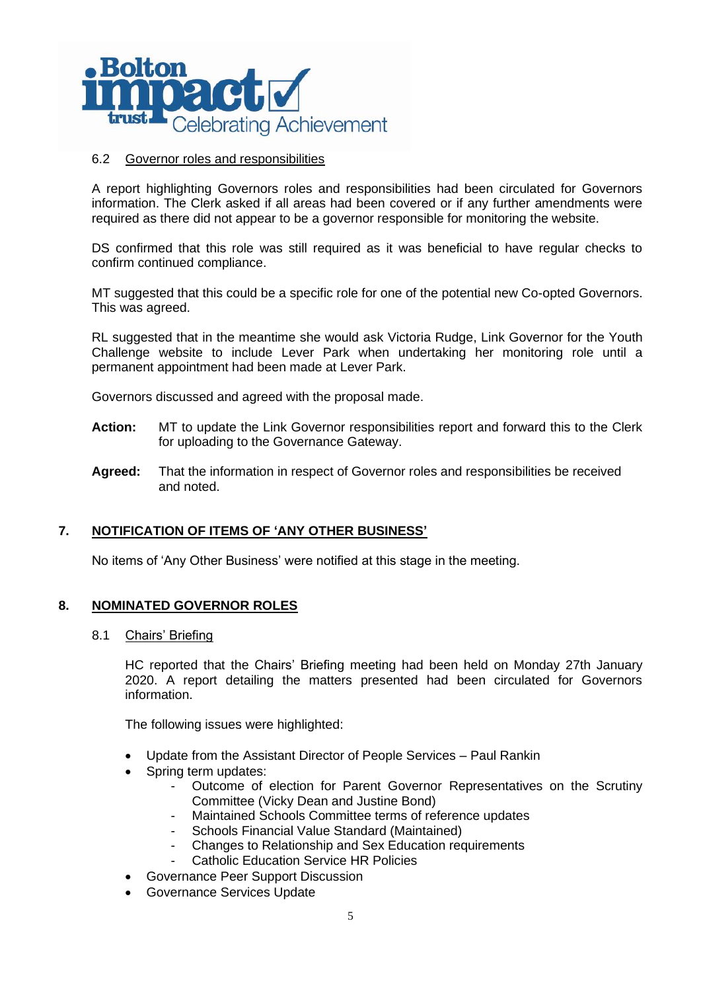

### 6.2 Governor roles and responsibilities

A report highlighting Governors roles and responsibilities had been circulated for Governors information. The Clerk asked if all areas had been covered or if any further amendments were required as there did not appear to be a governor responsible for monitoring the website.

DS confirmed that this role was still required as it was beneficial to have regular checks to confirm continued compliance.

MT suggested that this could be a specific role for one of the potential new Co-opted Governors. This was agreed.

RL suggested that in the meantime she would ask Victoria Rudge, Link Governor for the Youth Challenge website to include Lever Park when undertaking her monitoring role until a permanent appointment had been made at Lever Park.

Governors discussed and agreed with the proposal made.

- **Action:** MT to update the Link Governor responsibilities report and forward this to the Clerk for uploading to the Governance Gateway.
- **Agreed:** That the information in respect of Governor roles and responsibilities be received and noted.

### **7. NOTIFICATION OF ITEMS OF 'ANY OTHER BUSINESS'**

No items of 'Any Other Business' were notified at this stage in the meeting.

### **8. NOMINATED GOVERNOR ROLES**

### 8.1 Chairs' Briefing

HC reported that the Chairs' Briefing meeting had been held on Monday 27th January 2020. A report detailing the matters presented had been circulated for Governors information.

The following issues were highlighted:

- Update from the Assistant Director of People Services Paul Rankin
- Spring term updates:
	- Outcome of election for Parent Governor Representatives on the Scrutiny Committee (Vicky Dean and Justine Bond)
	- Maintained Schools Committee terms of reference updates
	- Schools Financial Value Standard (Maintained)
	- Changes to Relationship and Sex Education requirements
	- Catholic Education Service HR Policies
- Governance Peer Support Discussion
- Governance Services Update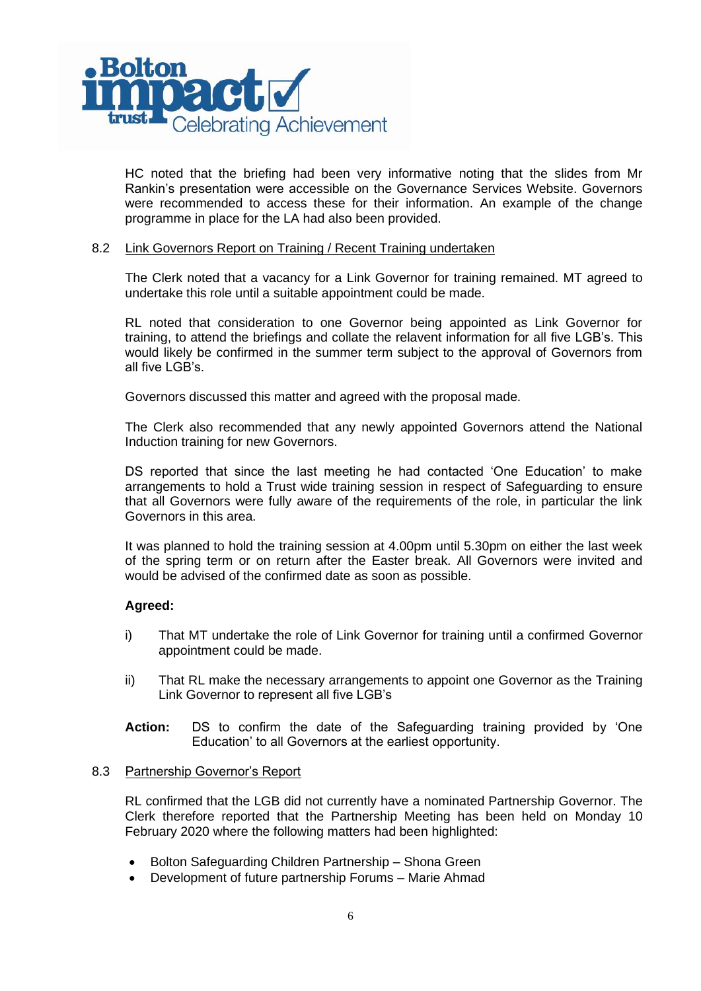

HC noted that the briefing had been very informative noting that the slides from Mr Rankin's presentation were accessible on the Governance Services Website. Governors were recommended to access these for their information. An example of the change programme in place for the LA had also been provided.

### 8.2 Link Governors Report on Training / Recent Training undertaken

The Clerk noted that a vacancy for a Link Governor for training remained. MT agreed to undertake this role until a suitable appointment could be made.

RL noted that consideration to one Governor being appointed as Link Governor for training, to attend the briefings and collate the relavent information for all five LGB's. This would likely be confirmed in the summer term subject to the approval of Governors from all five LGB's.

Governors discussed this matter and agreed with the proposal made.

The Clerk also recommended that any newly appointed Governors attend the National Induction training for new Governors.

DS reported that since the last meeting he had contacted 'One Education' to make arrangements to hold a Trust wide training session in respect of Safeguarding to ensure that all Governors were fully aware of the requirements of the role, in particular the link Governors in this area.

It was planned to hold the training session at 4.00pm until 5.30pm on either the last week of the spring term or on return after the Easter break. All Governors were invited and would be advised of the confirmed date as soon as possible.

### **Agreed:**

- i) That MT undertake the role of Link Governor for training until a confirmed Governor appointment could be made.
- ii) That RL make the necessary arrangements to appoint one Governor as the Training Link Governor to represent all five LGB's
- **Action:** DS to confirm the date of the Safeguarding training provided by 'One Education' to all Governors at the earliest opportunity.

### 8.3 Partnership Governor's Report

RL confirmed that the LGB did not currently have a nominated Partnership Governor. The Clerk therefore reported that the Partnership Meeting has been held on Monday 10 February 2020 where the following matters had been highlighted:

- Bolton Safeguarding Children Partnership Shona Green
- Development of future partnership Forums Marie Ahmad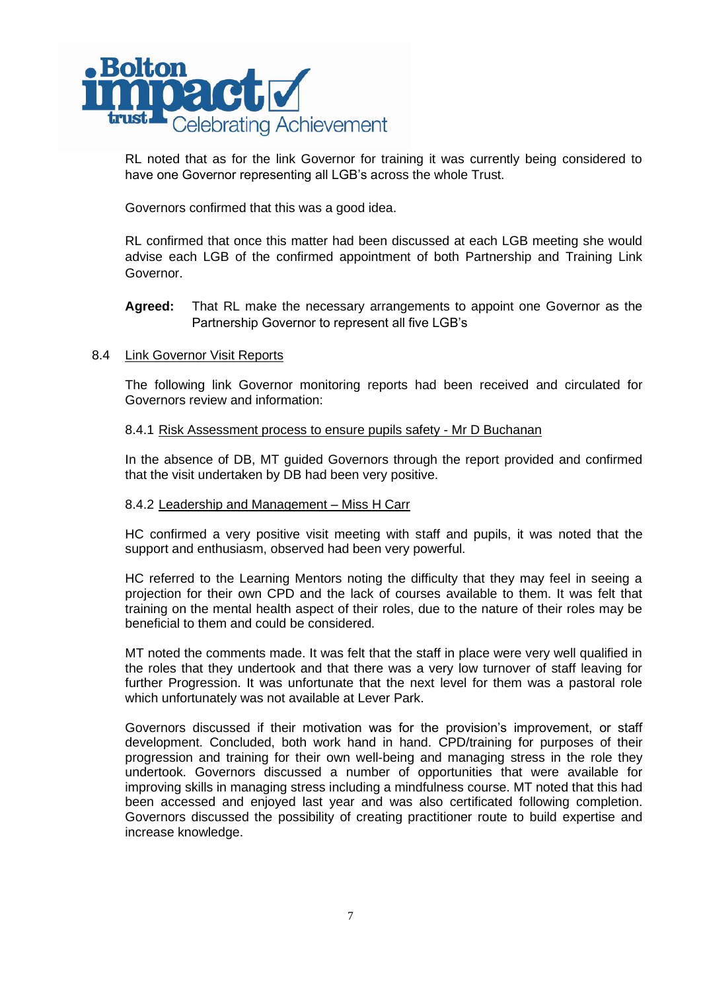

RL noted that as for the link Governor for training it was currently being considered to have one Governor representing all LGB's across the whole Trust.

Governors confirmed that this was a good idea.

RL confirmed that once this matter had been discussed at each LGB meeting she would advise each LGB of the confirmed appointment of both Partnership and Training Link Governor.

# **Agreed:** That RL make the necessary arrangements to appoint one Governor as the Partnership Governor to represent all five LGB's

## 8.4 Link Governor Visit Reports

The following link Governor monitoring reports had been received and circulated for Governors review and information:

### 8.4.1 Risk Assessment process to ensure pupils safety - Mr D Buchanan

In the absence of DB, MT guided Governors through the report provided and confirmed that the visit undertaken by DB had been very positive.

### 8.4.2 Leadership and Management – Miss H Carr

HC confirmed a very positive visit meeting with staff and pupils, it was noted that the support and enthusiasm, observed had been very powerful.

HC referred to the Learning Mentors noting the difficulty that they may feel in seeing a projection for their own CPD and the lack of courses available to them. It was felt that training on the mental health aspect of their roles, due to the nature of their roles may be beneficial to them and could be considered.

MT noted the comments made. It was felt that the staff in place were very well qualified in the roles that they undertook and that there was a very low turnover of staff leaving for further Progression. It was unfortunate that the next level for them was a pastoral role which unfortunately was not available at Lever Park.

Governors discussed if their motivation was for the provision's improvement, or staff development. Concluded, both work hand in hand. CPD/training for purposes of their progression and training for their own well-being and managing stress in the role they undertook. Governors discussed a number of opportunities that were available for improving skills in managing stress including a mindfulness course. MT noted that this had been accessed and enjoyed last year and was also certificated following completion. Governors discussed the possibility of creating practitioner route to build expertise and increase knowledge.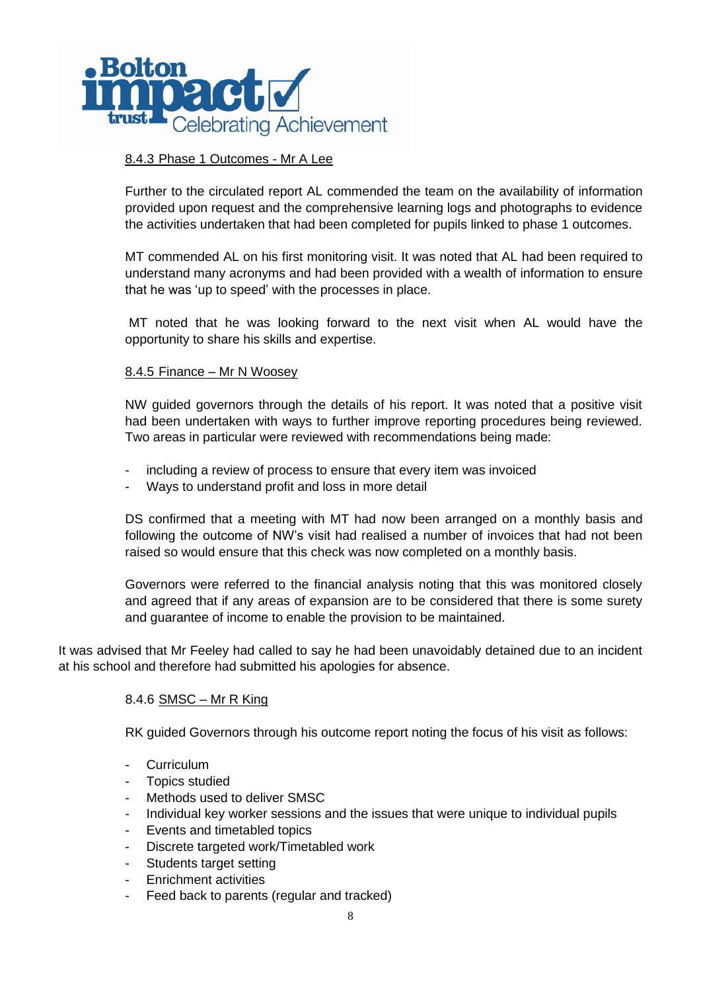

# 8.4.3 Phase 1 Outcomes - Mr A Lee

Further to the circulated report AL commended the team on the availability of information provided upon request and the comprehensive learning logs and photographs to evidence the activities undertaken that had been completed for pupils linked to phase 1 outcomes.

MT commended AL on his first monitoring visit. It was noted that AL had been required to understand many acronyms and had been provided with a wealth of information to ensure that he was 'up to speed' with the processes in place.

MT noted that he was looking forward to the next visit when AL would have the opportunity to share his skills and expertise.

### 8.4.5 Finance – Mr N Woosey

NW guided governors through the details of his report. It was noted that a positive visit had been undertaken with ways to further improve reporting procedures being reviewed. Two areas in particular were reviewed with recommendations being made:

- including a review of process to ensure that every item was invoiced
- Ways to understand profit and loss in more detail

DS confirmed that a meeting with MT had now been arranged on a monthly basis and following the outcome of NW's visit had realised a number of invoices that had not been raised so would ensure that this check was now completed on a monthly basis.

Governors were referred to the financial analysis noting that this was monitored closely and agreed that if any areas of expansion are to be considered that there is some surety and guarantee of income to enable the provision to be maintained.

It was advised that Mr Feeley had called to say he had been unavoidably detained due to an incident at his school and therefore had submitted his apologies for absence.

### 8.4.6 SMSC – Mr R King

RK guided Governors through his outcome report noting the focus of his visit as follows:

- **Curriculum**
- Topics studied
- Methods used to deliver SMSC
- Individual key worker sessions and the issues that were unique to individual pupils
- Events and timetabled topics
- Discrete targeted work/Timetabled work
- Students target setting
- Enrichment activities
- Feed back to parents (regular and tracked)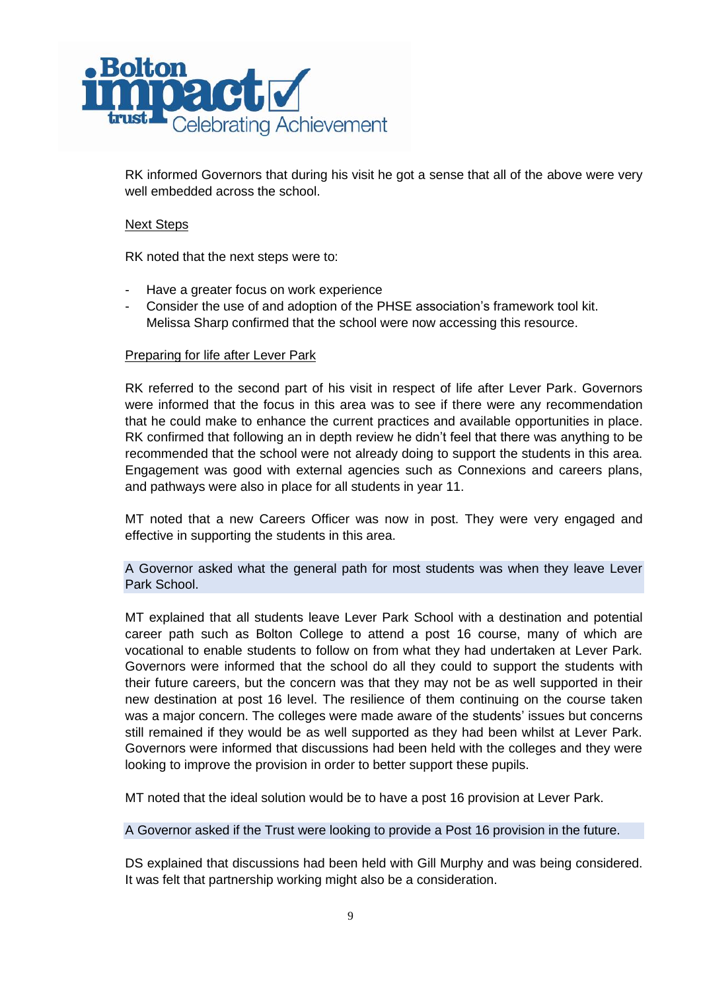

RK informed Governors that during his visit he got a sense that all of the above were very well embedded across the school.

## Next Steps

RK noted that the next steps were to:

- Have a greater focus on work experience
- Consider the use of and adoption of the PHSE association's framework tool kit. Melissa Sharp confirmed that the school were now accessing this resource.

## Preparing for life after Lever Park

RK referred to the second part of his visit in respect of life after Lever Park. Governors were informed that the focus in this area was to see if there were any recommendation that he could make to enhance the current practices and available opportunities in place. RK confirmed that following an in depth review he didn't feel that there was anything to be recommended that the school were not already doing to support the students in this area. Engagement was good with external agencies such as Connexions and careers plans, and pathways were also in place for all students in year 11.

MT noted that a new Careers Officer was now in post. They were very engaged and effective in supporting the students in this area.

A Governor asked what the general path for most students was when they leave Lever Park School.

MT explained that all students leave Lever Park School with a destination and potential career path such as Bolton College to attend a post 16 course, many of which are vocational to enable students to follow on from what they had undertaken at Lever Park. Governors were informed that the school do all they could to support the students with their future careers, but the concern was that they may not be as well supported in their new destination at post 16 level. The resilience of them continuing on the course taken was a major concern. The colleges were made aware of the students' issues but concerns still remained if they would be as well supported as they had been whilst at Lever Park. Governors were informed that discussions had been held with the colleges and they were looking to improve the provision in order to better support these pupils.

MT noted that the ideal solution would be to have a post 16 provision at Lever Park.

A Governor asked if the Trust were looking to provide a Post 16 provision in the future.

DS explained that discussions had been held with Gill Murphy and was being considered. It was felt that partnership working might also be a consideration.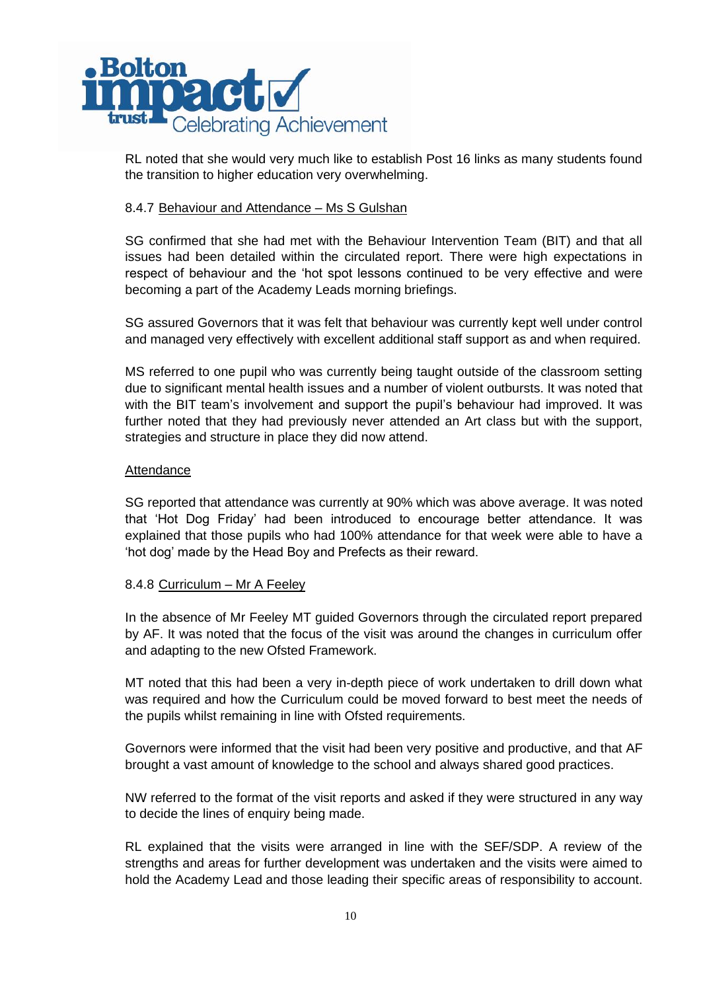

RL noted that she would very much like to establish Post 16 links as many students found the transition to higher education very overwhelming.

## 8.4.7 Behaviour and Attendance – Ms S Gulshan

SG confirmed that she had met with the Behaviour Intervention Team (BIT) and that all issues had been detailed within the circulated report. There were high expectations in respect of behaviour and the 'hot spot lessons continued to be very effective and were becoming a part of the Academy Leads morning briefings.

SG assured Governors that it was felt that behaviour was currently kept well under control and managed very effectively with excellent additional staff support as and when required.

MS referred to one pupil who was currently being taught outside of the classroom setting due to significant mental health issues and a number of violent outbursts. It was noted that with the BIT team's involvement and support the pupil's behaviour had improved. It was further noted that they had previously never attended an Art class but with the support, strategies and structure in place they did now attend.

## **Attendance**

SG reported that attendance was currently at 90% which was above average. It was noted that 'Hot Dog Friday' had been introduced to encourage better attendance. It was explained that those pupils who had 100% attendance for that week were able to have a 'hot dog' made by the Head Boy and Prefects as their reward.

# 8.4.8 Curriculum - Mr A Feeley

In the absence of Mr Feeley MT guided Governors through the circulated report prepared by AF. It was noted that the focus of the visit was around the changes in curriculum offer and adapting to the new Ofsted Framework.

MT noted that this had been a very in-depth piece of work undertaken to drill down what was required and how the Curriculum could be moved forward to best meet the needs of the pupils whilst remaining in line with Ofsted requirements.

Governors were informed that the visit had been very positive and productive, and that AF brought a vast amount of knowledge to the school and always shared good practices.

NW referred to the format of the visit reports and asked if they were structured in any way to decide the lines of enquiry being made.

RL explained that the visits were arranged in line with the SEF/SDP. A review of the strengths and areas for further development was undertaken and the visits were aimed to hold the Academy Lead and those leading their specific areas of responsibility to account.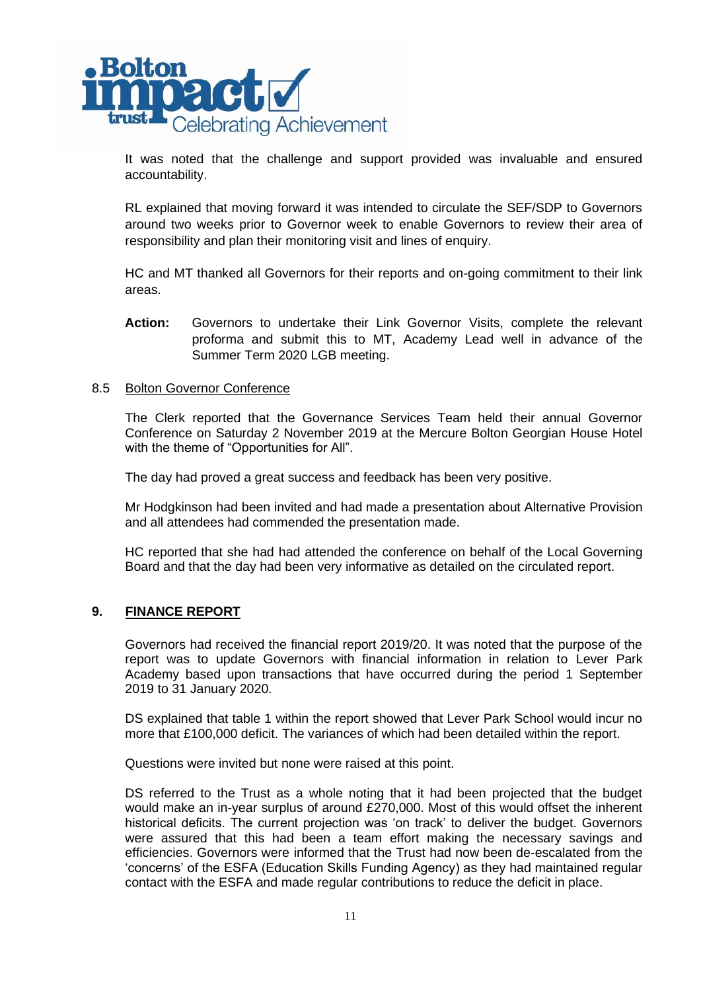

It was noted that the challenge and support provided was invaluable and ensured accountability.

RL explained that moving forward it was intended to circulate the SEF/SDP to Governors around two weeks prior to Governor week to enable Governors to review their area of responsibility and plan their monitoring visit and lines of enquiry.

HC and MT thanked all Governors for their reports and on-going commitment to their link areas.

**Action:** Governors to undertake their Link Governor Visits, complete the relevant proforma and submit this to MT, Academy Lead well in advance of the Summer Term 2020 LGB meeting.

### 8.5 Bolton Governor Conference

The Clerk reported that the Governance Services Team held their annual Governor Conference on Saturday 2 November 2019 at the Mercure Bolton Georgian House Hotel with the theme of "Opportunities for All".

The day had proved a great success and feedback has been very positive.

Mr Hodgkinson had been invited and had made a presentation about Alternative Provision and all attendees had commended the presentation made.

HC reported that she had had attended the conference on behalf of the Local Governing Board and that the day had been very informative as detailed on the circulated report.

### **9. FINANCE REPORT**

Governors had received the financial report 2019/20. It was noted that the purpose of the report was to update Governors with financial information in relation to Lever Park Academy based upon transactions that have occurred during the period 1 September 2019 to 31 January 2020.

DS explained that table 1 within the report showed that Lever Park School would incur no more that £100,000 deficit. The variances of which had been detailed within the report.

Questions were invited but none were raised at this point.

DS referred to the Trust as a whole noting that it had been projected that the budget would make an in-year surplus of around £270,000. Most of this would offset the inherent historical deficits. The current projection was 'on track' to deliver the budget. Governors were assured that this had been a team effort making the necessary savings and efficiencies. Governors were informed that the Trust had now been de-escalated from the 'concerns' of the ESFA (Education Skills Funding Agency) as they had maintained regular contact with the ESFA and made regular contributions to reduce the deficit in place.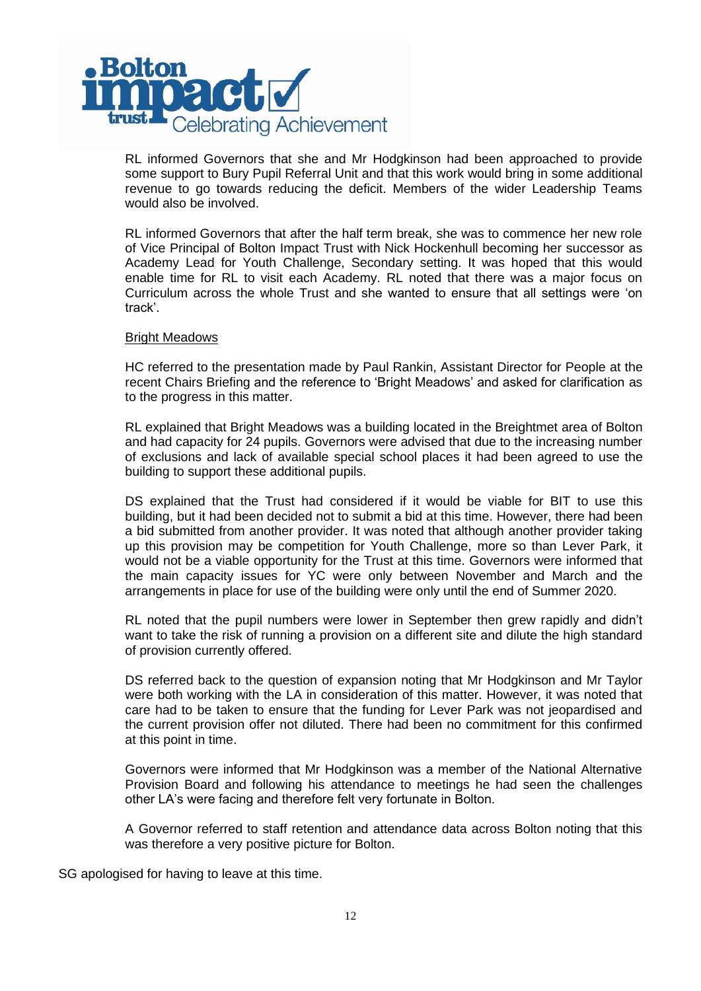

RL informed Governors that she and Mr Hodgkinson had been approached to provide some support to Bury Pupil Referral Unit and that this work would bring in some additional revenue to go towards reducing the deficit. Members of the wider Leadership Teams would also be involved.

RL informed Governors that after the half term break, she was to commence her new role of Vice Principal of Bolton Impact Trust with Nick Hockenhull becoming her successor as Academy Lead for Youth Challenge, Secondary setting. It was hoped that this would enable time for RL to visit each Academy. RL noted that there was a major focus on Curriculum across the whole Trust and she wanted to ensure that all settings were 'on track'.

### Bright Meadows

HC referred to the presentation made by Paul Rankin, Assistant Director for People at the recent Chairs Briefing and the reference to 'Bright Meadows' and asked for clarification as to the progress in this matter.

RL explained that Bright Meadows was a building located in the Breightmet area of Bolton and had capacity for 24 pupils. Governors were advised that due to the increasing number of exclusions and lack of available special school places it had been agreed to use the building to support these additional pupils.

DS explained that the Trust had considered if it would be viable for BIT to use this building, but it had been decided not to submit a bid at this time. However, there had been a bid submitted from another provider. It was noted that although another provider taking up this provision may be competition for Youth Challenge, more so than Lever Park, it would not be a viable opportunity for the Trust at this time. Governors were informed that the main capacity issues for YC were only between November and March and the arrangements in place for use of the building were only until the end of Summer 2020.

RL noted that the pupil numbers were lower in September then grew rapidly and didn't want to take the risk of running a provision on a different site and dilute the high standard of provision currently offered.

DS referred back to the question of expansion noting that Mr Hodgkinson and Mr Taylor were both working with the LA in consideration of this matter. However, it was noted that care had to be taken to ensure that the funding for Lever Park was not jeopardised and the current provision offer not diluted. There had been no commitment for this confirmed at this point in time.

Governors were informed that Mr Hodgkinson was a member of the National Alternative Provision Board and following his attendance to meetings he had seen the challenges other LA's were facing and therefore felt very fortunate in Bolton.

A Governor referred to staff retention and attendance data across Bolton noting that this was therefore a very positive picture for Bolton.

SG apologised for having to leave at this time.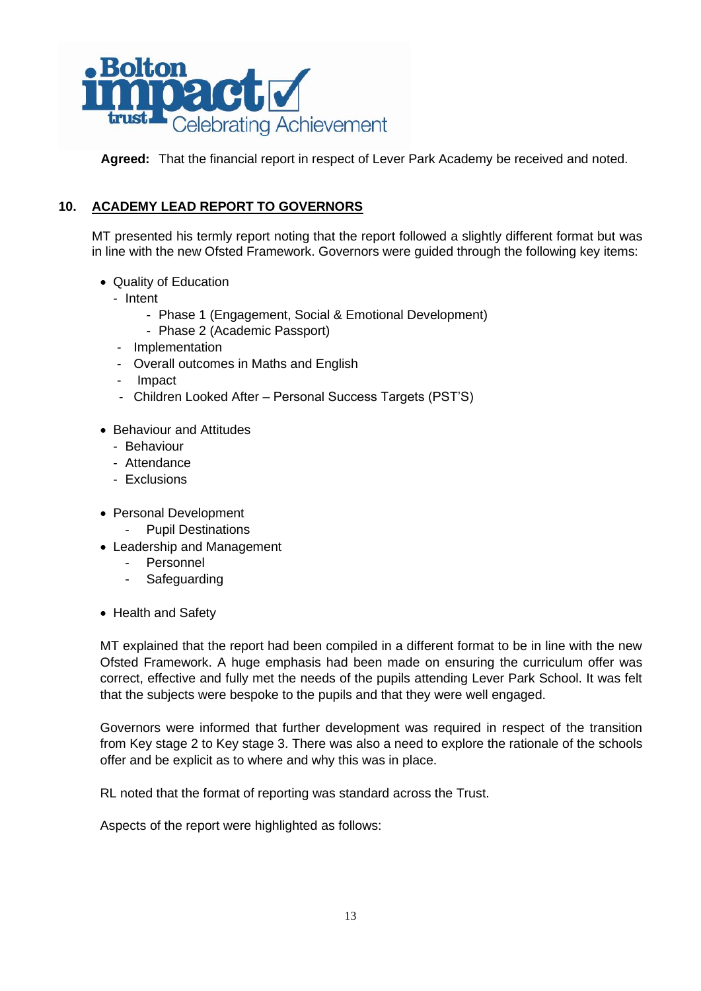

**Agreed:** That the financial report in respect of Lever Park Academy be received and noted.

# **10. ACADEMY LEAD REPORT TO GOVERNORS**

MT presented his termly report noting that the report followed a slightly different format but was in line with the new Ofsted Framework. Governors were guided through the following key items:

- Quality of Education
	- Intent
		- Phase 1 (Engagement, Social & Emotional Development)
		- Phase 2 (Academic Passport)
	- Implementation
	- Overall outcomes in Maths and English
	- Impact
	- Children Looked After Personal Success Targets (PST'S)
- Behaviour and Attitudes
	- Behaviour
	- Attendance
	- Exclusions
- Personal Development
	- Pupil Destinations
- Leadership and Management
	- Personnel
	- **Safeguarding**
- Health and Safety

MT explained that the report had been compiled in a different format to be in line with the new Ofsted Framework. A huge emphasis had been made on ensuring the curriculum offer was correct, effective and fully met the needs of the pupils attending Lever Park School. It was felt that the subjects were bespoke to the pupils and that they were well engaged.

Governors were informed that further development was required in respect of the transition from Key stage 2 to Key stage 3. There was also a need to explore the rationale of the schools offer and be explicit as to where and why this was in place.

RL noted that the format of reporting was standard across the Trust.

Aspects of the report were highlighted as follows: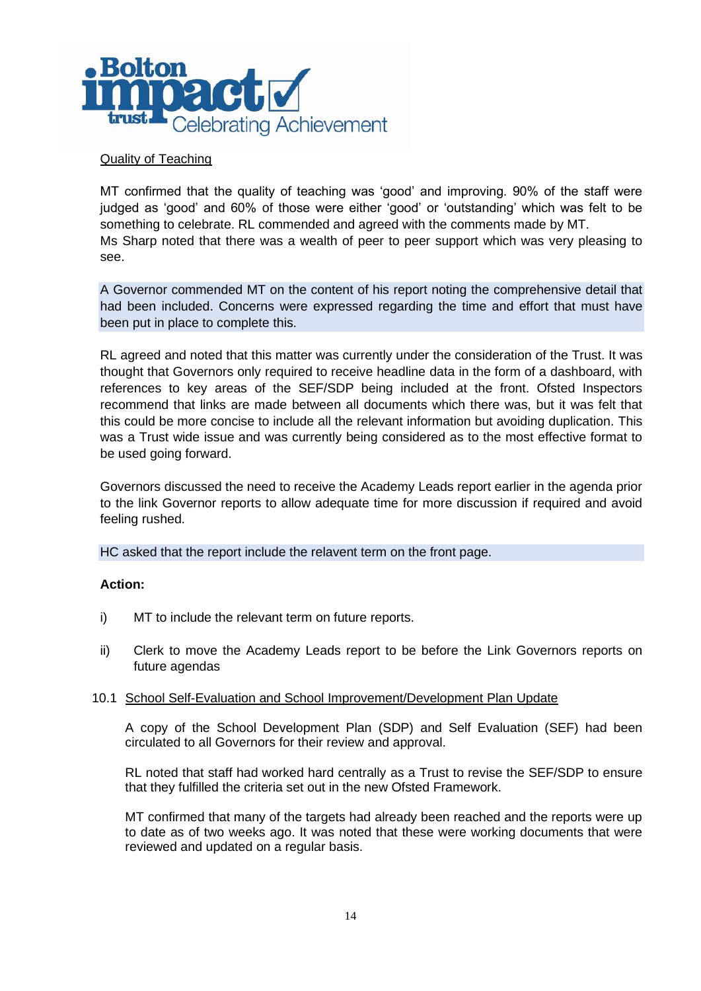

## Quality of Teaching

MT confirmed that the quality of teaching was 'good' and improving. 90% of the staff were judged as 'good' and 60% of those were either 'good' or 'outstanding' which was felt to be something to celebrate. RL commended and agreed with the comments made by MT. Ms Sharp noted that there was a wealth of peer to peer support which was very pleasing to see.

A Governor commended MT on the content of his report noting the comprehensive detail that had been included. Concerns were expressed regarding the time and effort that must have been put in place to complete this.

RL agreed and noted that this matter was currently under the consideration of the Trust. It was thought that Governors only required to receive headline data in the form of a dashboard, with references to key areas of the SEF/SDP being included at the front. Ofsted Inspectors recommend that links are made between all documents which there was, but it was felt that this could be more concise to include all the relevant information but avoiding duplication. This was a Trust wide issue and was currently being considered as to the most effective format to be used going forward.

Governors discussed the need to receive the Academy Leads report earlier in the agenda prior to the link Governor reports to allow adequate time for more discussion if required and avoid feeling rushed.

HC asked that the report include the relavent term on the front page.

### **Action:**

- i) MT to include the relevant term on future reports.
- ii) Clerk to move the Academy Leads report to be before the Link Governors reports on future agendas

### 10.1 School Self-Evaluation and School Improvement/Development Plan Update

A copy of the School Development Plan (SDP) and Self Evaluation (SEF) had been circulated to all Governors for their review and approval.

RL noted that staff had worked hard centrally as a Trust to revise the SEF/SDP to ensure that they fulfilled the criteria set out in the new Ofsted Framework.

MT confirmed that many of the targets had already been reached and the reports were up to date as of two weeks ago. It was noted that these were working documents that were reviewed and updated on a regular basis.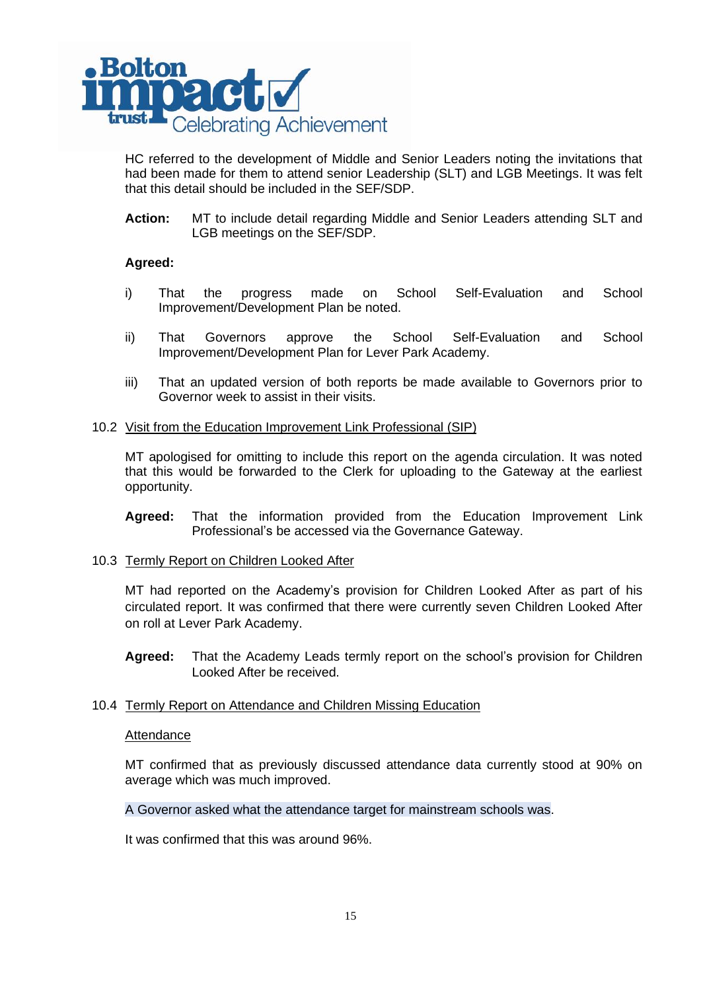

HC referred to the development of Middle and Senior Leaders noting the invitations that had been made for them to attend senior Leadership (SLT) and LGB Meetings. It was felt that this detail should be included in the SEF/SDP.

**Action:** MT to include detail regarding Middle and Senior Leaders attending SLT and LGB meetings on the SEF/SDP.

## **Agreed:**

- i) That the progress made on School Self-Evaluation and School Improvement/Development Plan be noted.
- ii) That Governors approve the School Self-Evaluation and School Improvement/Development Plan for Lever Park Academy.
- iii) That an updated version of both reports be made available to Governors prior to Governor week to assist in their visits.

### 10.2 Visit from the Education Improvement Link Professional (SIP)

MT apologised for omitting to include this report on the agenda circulation. It was noted that this would be forwarded to the Clerk for uploading to the Gateway at the earliest opportunity.

**Agreed:** That the information provided from the Education Improvement Link Professional's be accessed via the Governance Gateway.

### 10.3 Termly Report on Children Looked After

MT had reported on the Academy's provision for Children Looked After as part of his circulated report. It was confirmed that there were currently seven Children Looked After on roll at Lever Park Academy.

**Agreed:** That the Academy Leads termly report on the school's provision for Children Looked After be received.

### 10.4 Termly Report on Attendance and Children Missing Education

### Attendance

MT confirmed that as previously discussed attendance data currently stood at 90% on average which was much improved.

A Governor asked what the attendance target for mainstream schools was.

It was confirmed that this was around 96%.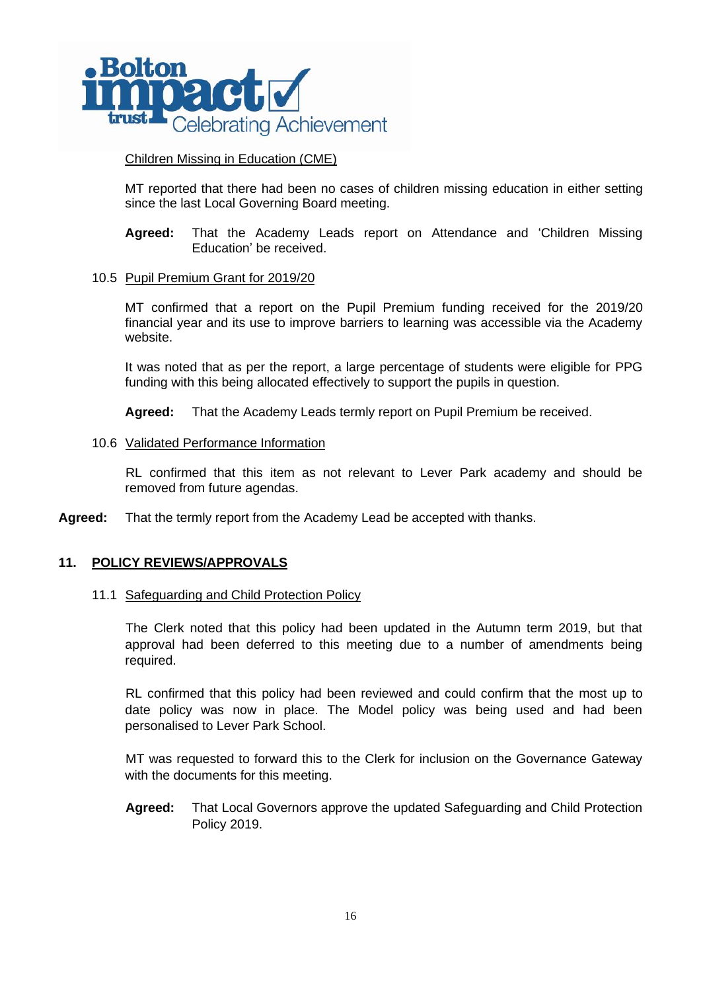

# Children Missing in Education (CME)

MT reported that there had been no cases of children missing education in either setting since the last Local Governing Board meeting.

**Agreed:** That the Academy Leads report on Attendance and 'Children Missing Education' be received.

## 10.5 Pupil Premium Grant for 2019/20

MT confirmed that a report on the Pupil Premium funding received for the 2019/20 financial year and its use to improve barriers to learning was accessible via the Academy website.

It was noted that as per the report, a large percentage of students were eligible for PPG funding with this being allocated effectively to support the pupils in question.

**Agreed:** That the Academy Leads termly report on Pupil Premium be received.

## 10.6 Validated Performance Information

RL confirmed that this item as not relevant to Lever Park academy and should be removed from future agendas.

**Agreed:** That the termly report from the Academy Lead be accepted with thanks.

# **11. POLICY REVIEWS/APPROVALS**

### 11.1 Safeguarding and Child Protection Policy

The Clerk noted that this policy had been updated in the Autumn term 2019, but that approval had been deferred to this meeting due to a number of amendments being required.

RL confirmed that this policy had been reviewed and could confirm that the most up to date policy was now in place. The Model policy was being used and had been personalised to Lever Park School.

MT was requested to forward this to the Clerk for inclusion on the Governance Gateway with the documents for this meeting.

**Agreed:** That Local Governors approve the updated Safeguarding and Child Protection Policy 2019.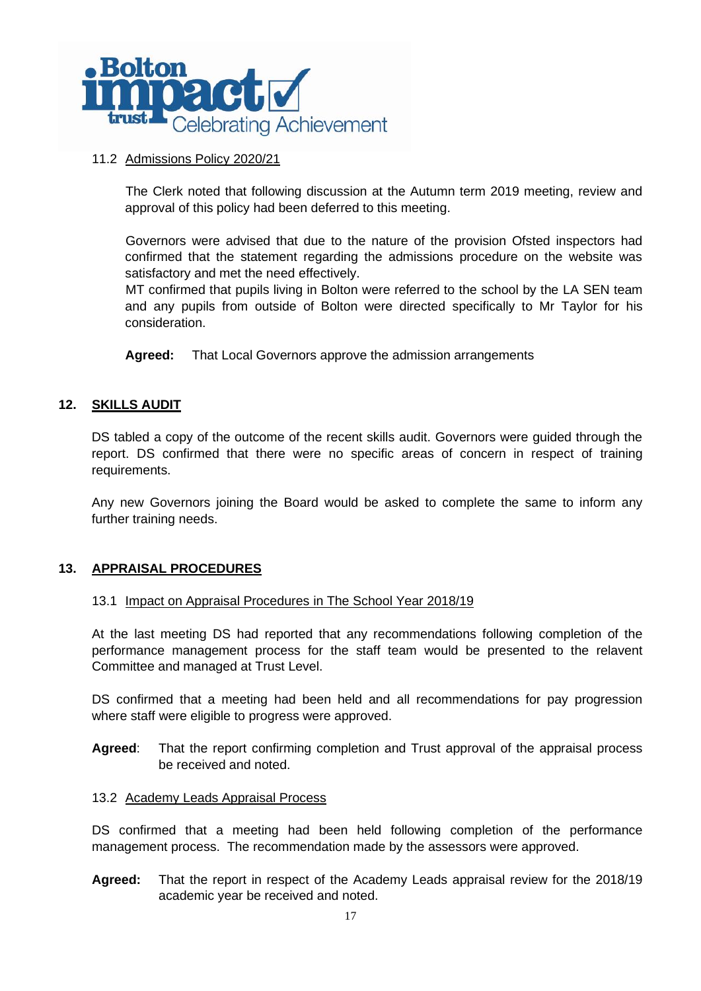

## 11.2 Admissions Policy 2020/21

The Clerk noted that following discussion at the Autumn term 2019 meeting, review and approval of this policy had been deferred to this meeting.

Governors were advised that due to the nature of the provision Ofsted inspectors had confirmed that the statement regarding the admissions procedure on the website was satisfactory and met the need effectively.

MT confirmed that pupils living in Bolton were referred to the school by the LA SEN team and any pupils from outside of Bolton were directed specifically to Mr Taylor for his consideration.

**Agreed:** That Local Governors approve the admission arrangements

# **12. SKILLS AUDIT**

DS tabled a copy of the outcome of the recent skills audit. Governors were guided through the report. DS confirmed that there were no specific areas of concern in respect of training requirements.

Any new Governors joining the Board would be asked to complete the same to inform any further training needs.

# **13. APPRAISAL PROCEDURES**

## 13.1 Impact on Appraisal Procedures in The School Year 2018/19

At the last meeting DS had reported that any recommendations following completion of the performance management process for the staff team would be presented to the relavent Committee and managed at Trust Level.

DS confirmed that a meeting had been held and all recommendations for pay progression where staff were eligible to progress were approved.

**Agreed**: That the report confirming completion and Trust approval of the appraisal process be received and noted.

### 13.2 Academy Leads Appraisal Process

DS confirmed that a meeting had been held following completion of the performance management process. The recommendation made by the assessors were approved.

**Agreed:** That the report in respect of the Academy Leads appraisal review for the 2018/19 academic year be received and noted.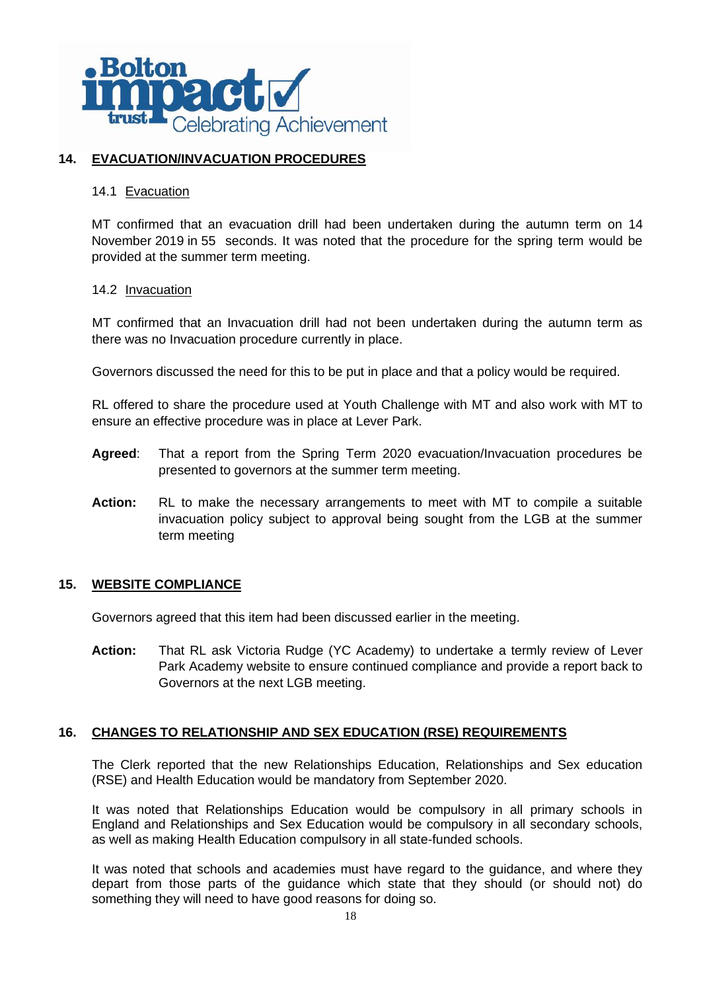

# **14. EVACUATION/INVACUATION PROCEDURES**

## 14.1 Evacuation

MT confirmed that an evacuation drill had been undertaken during the autumn term on 14 November 2019 in 55 seconds. It was noted that the procedure for the spring term would be provided at the summer term meeting.

## 14.2 Invacuation

MT confirmed that an Invacuation drill had not been undertaken during the autumn term as there was no Invacuation procedure currently in place.

Governors discussed the need for this to be put in place and that a policy would be required.

RL offered to share the procedure used at Youth Challenge with MT and also work with MT to ensure an effective procedure was in place at Lever Park.

- **Agreed**: That a report from the Spring Term 2020 evacuation/Invacuation procedures be presented to governors at the summer term meeting.
- **Action:** RL to make the necessary arrangements to meet with MT to compile a suitable invacuation policy subject to approval being sought from the LGB at the summer term meeting

# **15. WEBSITE COMPLIANCE**

Governors agreed that this item had been discussed earlier in the meeting.

**Action:** That RL ask Victoria Rudge (YC Academy) to undertake a termly review of Lever Park Academy website to ensure continued compliance and provide a report back to Governors at the next LGB meeting.

# **16. CHANGES TO RELATIONSHIP AND SEX EDUCATION (RSE) REQUIREMENTS**

The Clerk reported that the new Relationships Education, Relationships and Sex education (RSE) and Health Education would be mandatory from September 2020.

It was noted that Relationships Education would be compulsory in all primary schools in England and Relationships and Sex Education would be compulsory in all secondary schools, as well as making Health Education compulsory in all state-funded schools.

It was noted that schools and academies must have regard to the guidance, and where they depart from those parts of the guidance which state that they should (or should not) do something they will need to have good reasons for doing so.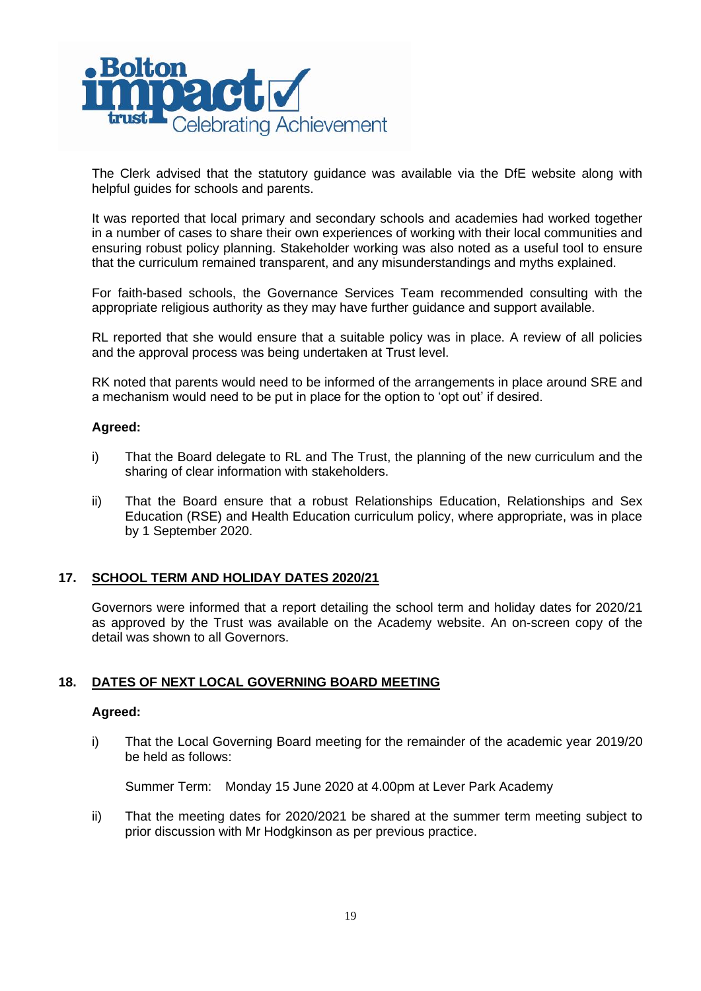

The Clerk advised that the statutory guidance was available via the DfE website along with helpful guides for schools and parents.

It was reported that local primary and secondary schools and academies had worked together in a number of cases to share their own experiences of working with their local communities and ensuring robust policy planning. Stakeholder working was also noted as a useful tool to ensure that the curriculum remained transparent, and any misunderstandings and myths explained.

For faith-based schools, the Governance Services Team recommended consulting with the appropriate religious authority as they may have further guidance and support available.

RL reported that she would ensure that a suitable policy was in place. A review of all policies and the approval process was being undertaken at Trust level.

RK noted that parents would need to be informed of the arrangements in place around SRE and a mechanism would need to be put in place for the option to 'opt out' if desired.

## **Agreed:**

- i) That the Board delegate to RL and The Trust, the planning of the new curriculum and the sharing of clear information with stakeholders.
- ii) That the Board ensure that a robust Relationships Education, Relationships and Sex Education (RSE) and Health Education curriculum policy, where appropriate, was in place by 1 September 2020.

# **17. SCHOOL TERM AND HOLIDAY DATES 2020/21**

Governors were informed that a report detailing the school term and holiday dates for 2020/21 as approved by the Trust was available on the Academy website. An on-screen copy of the detail was shown to all Governors.

# **18. DATES OF NEXT LOCAL GOVERNING BOARD MEETING**

### **Agreed:**

i) That the Local Governing Board meeting for the remainder of the academic year 2019/20 be held as follows:

Summer Term: Monday 15 June 2020 at 4.00pm at Lever Park Academy

ii) That the meeting dates for 2020/2021 be shared at the summer term meeting subject to prior discussion with Mr Hodgkinson as per previous practice.